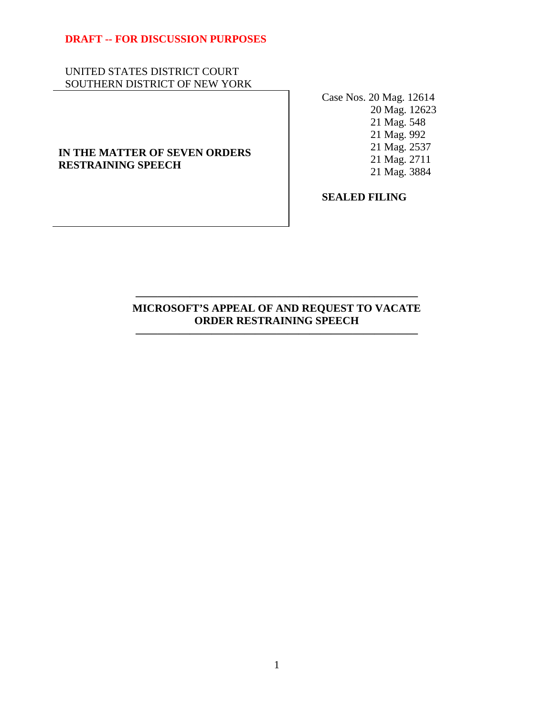# UNITED STATES DISTRICT COURT SOUTHERN DISTRICT OF NEW YORK

# **IN THE MATTER OF SEVEN ORDERS RESTRAINING SPEECH**

Case Nos. 20 Mag. 12614 20 Mag. 12623 21 Mag. 548 21 Mag. 992 21 Mag. 2537 21 Mag. 2711 21 Mag. 3884

**SEALED FILING** 

# **MICROSOFT'S APPEAL OF AND REQUEST TO VACATE ORDER RESTRAINING SPEECH**

**——————————————————————————** 

**——————————————————————————**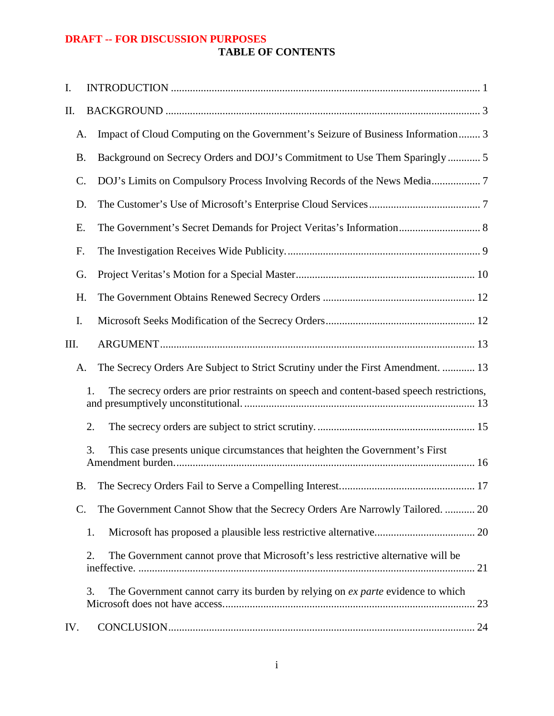# **DRAFT -- FOR DISCUSSION PURPOSES TABLE OF CONTENTS**

| I.  |                 |                                                                                          |
|-----|-----------------|------------------------------------------------------------------------------------------|
| Π.  |                 |                                                                                          |
|     | A.              | Impact of Cloud Computing on the Government's Seizure of Business Information 3          |
|     | <b>B.</b>       | Background on Secrecy Orders and DOJ's Commitment to Use Them Sparingly  5               |
|     | $\mathcal{C}$ . | DOJ's Limits on Compulsory Process Involving Records of the News Media 7                 |
|     | D.              |                                                                                          |
|     | Ε.              |                                                                                          |
|     | F.              |                                                                                          |
|     | G.              |                                                                                          |
|     | H.              |                                                                                          |
| I.  |                 |                                                                                          |
| Ш.  |                 |                                                                                          |
|     | A.              | The Secrecy Orders Are Subject to Strict Scrutiny under the First Amendment.  13         |
|     | 1.              | The secrecy orders are prior restraints on speech and content-based speech restrictions, |
|     | 2.              |                                                                                          |
|     | 3.              | This case presents unique circumstances that heighten the Government's First             |
|     |                 |                                                                                          |
|     | $\mathcal{C}$ . | The Government Cannot Show that the Secrecy Orders Are Narrowly Tailored.  20            |
|     | 1.              |                                                                                          |
|     | 2.              | The Government cannot prove that Microsoft's less restrictive alternative will be        |
|     | 3.              | The Government cannot carry its burden by relying on <i>ex parte</i> evidence to which   |
| IV. |                 |                                                                                          |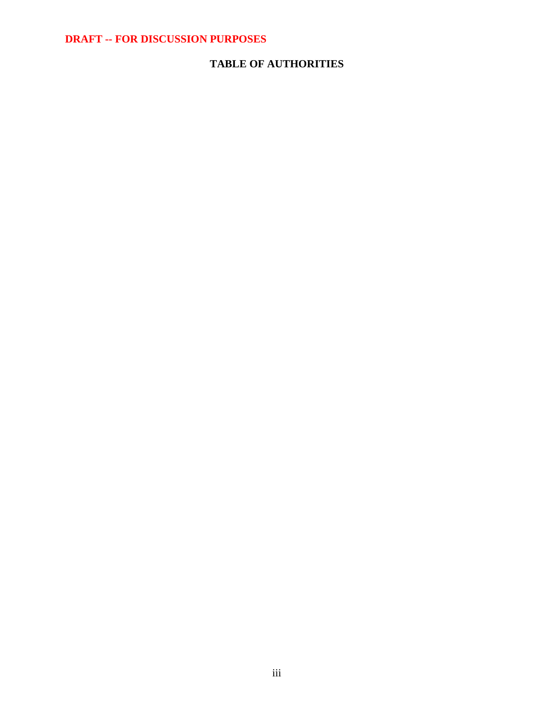# **TABLE OF AUTHORITIES**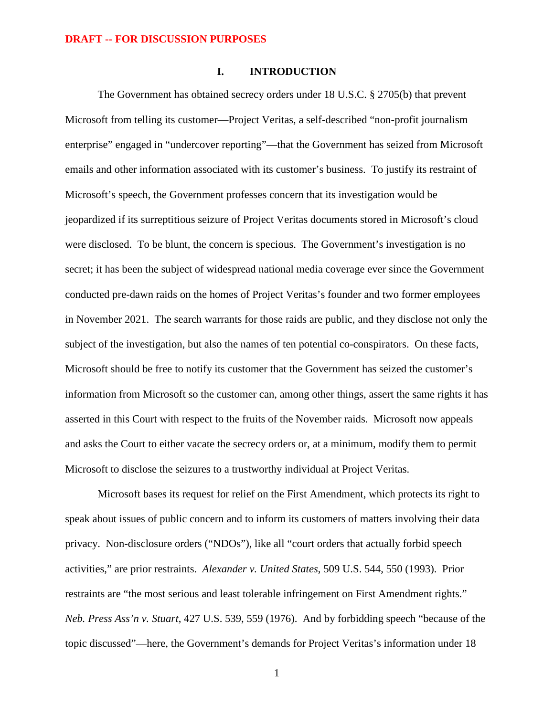### **I. INTRODUCTION**

The Government has obtained secrecy orders under 18 U.S.C. § 2705(b) that prevent Microsoft from telling its customer—Project Veritas, a self-described "non-profit journalism enterprise" engaged in "undercover reporting"—that the Government has seized from Microsoft emails and other information associated with its customer's business. To justify its restraint of Microsoft's speech, the Government professes concern that its investigation would be jeopardized if its surreptitious seizure of Project Veritas documents stored in Microsoft's cloud were disclosed. To be blunt, the concern is specious. The Government's investigation is no secret; it has been the subject of widespread national media coverage ever since the Government conducted pre-dawn raids on the homes of Project Veritas's founder and two former employees in November 2021. The search warrants for those raids are public, and they disclose not only the subject of the investigation, but also the names of ten potential co-conspirators. On these facts, Microsoft should be free to notify its customer that the Government has seized the customer's information from Microsoft so the customer can, among other things, assert the same rights it has asserted in this Court with respect to the fruits of the November raids. Microsoft now appeals and asks the Court to either vacate the secrecy orders or, at a minimum, modify them to permit Microsoft to disclose the seizures to a trustworthy individual at Project Veritas.

Microsoft bases its request for relief on the First Amendment, which protects its right to speak about issues of public concern and to inform its customers of matters involving their data privacy. Non-disclosure orders ("NDOs"), like all "court orders that actually forbid speech activities," are prior restraints. *Alexander v. United States*, 509 U.S. 544, 550 (1993). Prior restraints are "the most serious and least tolerable infringement on First Amendment rights." *Neb. Press Ass'n v. Stuart*, 427 U.S. 539, 559 (1976). And by forbidding speech "because of the topic discussed"—here, the Government's demands for Project Veritas's information under 18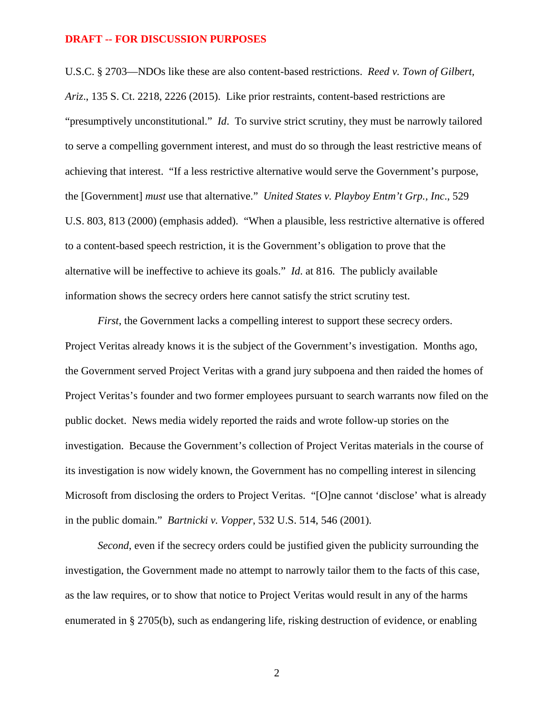U.S.C. § 2703—NDOs like these are also content-based restrictions. *Reed v. Town of Gilbert, Ariz*., 135 S. Ct. 2218, 2226 (2015). Like prior restraints, content-based restrictions are "presumptively unconstitutional." *Id*. To survive strict scrutiny, they must be narrowly tailored to serve a compelling government interest, and must do so through the least restrictive means of achieving that interest. "If a less restrictive alternative would serve the Government's purpose, the [Government] *must* use that alternative." *United States v. Playboy Entm't Grp., Inc*., 529 U.S. 803, 813 (2000) (emphasis added). "When a plausible, less restrictive alternative is offered to a content-based speech restriction, it is the Government's obligation to prove that the alternative will be ineffective to achieve its goals." *Id*. at 816. The publicly available information shows the secrecy orders here cannot satisfy the strict scrutiny test.

*First*, the Government lacks a compelling interest to support these secrecy orders. Project Veritas already knows it is the subject of the Government's investigation. Months ago, the Government served Project Veritas with a grand jury subpoena and then raided the homes of Project Veritas's founder and two former employees pursuant to search warrants now filed on the public docket. News media widely reported the raids and wrote follow-up stories on the investigation. Because the Government's collection of Project Veritas materials in the course of its investigation is now widely known, the Government has no compelling interest in silencing Microsoft from disclosing the orders to Project Veritas. "[O]ne cannot 'disclose' what is already in the public domain." *Bartnicki v. Vopper*, 532 U.S. 514, 546 (2001).

*Second*, even if the secrecy orders could be justified given the publicity surrounding the investigation, the Government made no attempt to narrowly tailor them to the facts of this case, as the law requires, or to show that notice to Project Veritas would result in any of the harms enumerated in § 2705(b), such as endangering life, risking destruction of evidence, or enabling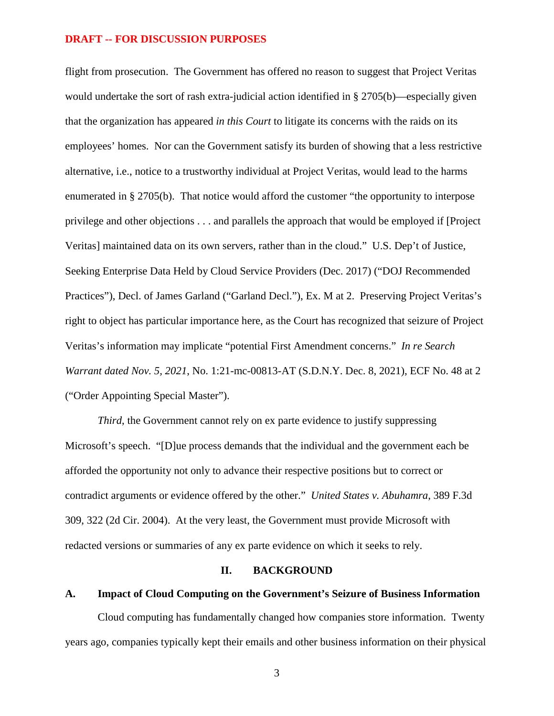flight from prosecution. The Government has offered no reason to suggest that Project Veritas would undertake the sort of rash extra-judicial action identified in § 2705(b)—especially given that the organization has appeared *in this Court* to litigate its concerns with the raids on its employees' homes. Nor can the Government satisfy its burden of showing that a less restrictive alternative, i.e., notice to a trustworthy individual at Project Veritas, would lead to the harms enumerated in § 2705(b). That notice would afford the customer "the opportunity to interpose privilege and other objections . . . and parallels the approach that would be employed if [Project Veritas] maintained data on its own servers, rather than in the cloud." U.S. Dep't of Justice, Seeking Enterprise Data Held by Cloud Service Providers (Dec. 2017) ("DOJ Recommended Practices"), Decl. of James Garland ("Garland Decl."), Ex. M at 2. Preserving Project Veritas's right to object has particular importance here, as the Court has recognized that seizure of Project Veritas's information may implicate "potential First Amendment concerns." *In re Search Warrant dated Nov. 5, 2021*, No. 1:21-mc-00813-AT (S.D.N.Y. Dec. 8, 2021), ECF No. 48 at 2 ("Order Appointing Special Master").

*Third*, the Government cannot rely on ex parte evidence to justify suppressing Microsoft's speech. "[D]ue process demands that the individual and the government each be afforded the opportunity not only to advance their respective positions but to correct or contradict arguments or evidence offered by the other." *United States v. Abuhamra*, 389 F.3d 309, 322 (2d Cir. 2004). At the very least, the Government must provide Microsoft with redacted versions or summaries of any ex parte evidence on which it seeks to rely.

#### **II. BACKGROUND**

### **A. Impact of Cloud Computing on the Government's Seizure of Business Information**

Cloud computing has fundamentally changed how companies store information. Twenty years ago, companies typically kept their emails and other business information on their physical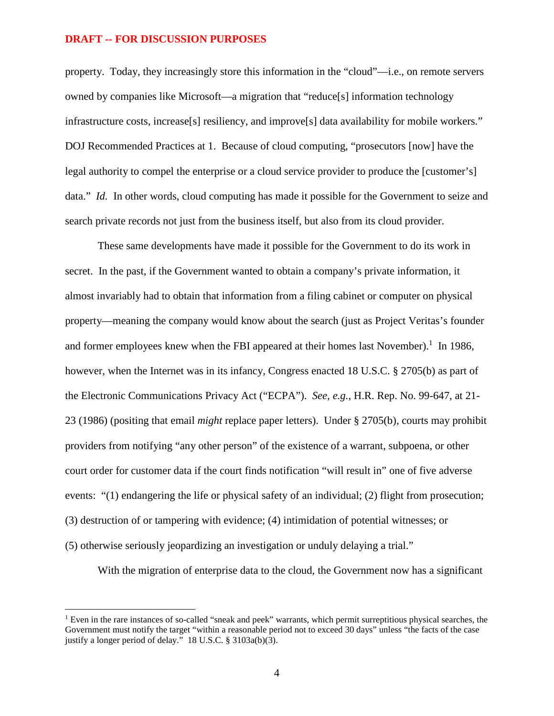property. Today, they increasingly store this information in the "cloud"—i.e., on remote servers owned by companies like Microsoft—a migration that "reduce[s] information technology infrastructure costs, increase[s] resiliency, and improve[s] data availability for mobile workers." DOJ Recommended Practices at 1. Because of cloud computing, "prosecutors [now] have the legal authority to compel the enterprise or a cloud service provider to produce the [customer's] data." *Id.* In other words, cloud computing has made it possible for the Government to seize and search private records not just from the business itself, but also from its cloud provider.

These same developments have made it possible for the Government to do its work in secret. In the past, if the Government wanted to obtain a company's private information, it almost invariably had to obtain that information from a filing cabinet or computer on physical property—meaning the company would know about the search (just as Project Veritas's founder and former employees knew when the FBI appeared at their homes last November).<sup>1</sup> In 1986, however, when the Internet was in its infancy, Congress enacted 18 U.S.C. § 2705(b) as part of the Electronic Communications Privacy Act ("ECPA"). *See, e.g.*, H.R. Rep. No. 99-647, at 21- 23 (1986) (positing that email *might* replace paper letters). Under § 2705(b), courts may prohibit providers from notifying "any other person" of the existence of a warrant, subpoena, or other court order for customer data if the court finds notification "will result in" one of five adverse events: "(1) endangering the life or physical safety of an individual; (2) flight from prosecution; (3) destruction of or tampering with evidence; (4) intimidation of potential witnesses; or (5) otherwise seriously jeopardizing an investigation or unduly delaying a trial."

With the migration of enterprise data to the cloud, the Government now has a significant

<sup>&</sup>lt;sup>1</sup> Even in the rare instances of so-called "sneak and peek" warrants, which permit surreptitious physical searches, the Government must notify the target "within a reasonable period not to exceed 30 days" unless "the facts of the case justify a longer period of delay." 18 U.S.C. § 3103a(b)(3).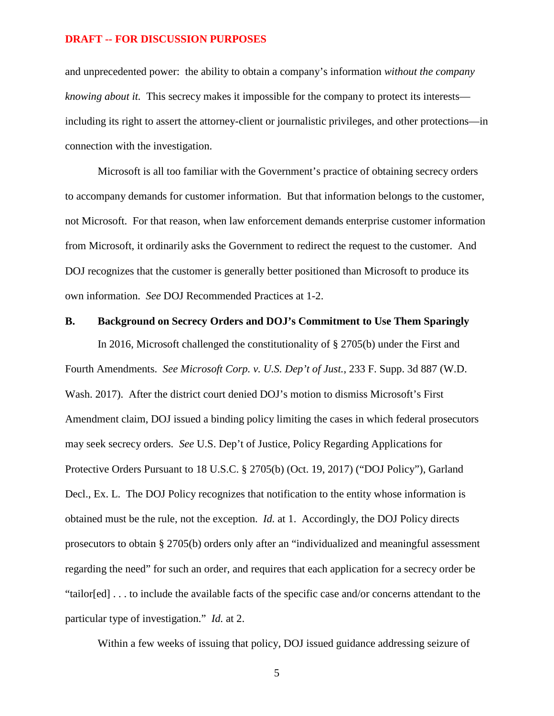and unprecedented power: the ability to obtain a company's information *without the company knowing about it.* This secrecy makes it impossible for the company to protect its interests including its right to assert the attorney-client or journalistic privileges, and other protections—in connection with the investigation.

Microsoft is all too familiar with the Government's practice of obtaining secrecy orders to accompany demands for customer information. But that information belongs to the customer, not Microsoft. For that reason, when law enforcement demands enterprise customer information from Microsoft, it ordinarily asks the Government to redirect the request to the customer. And DOJ recognizes that the customer is generally better positioned than Microsoft to produce its own information. *See* DOJ Recommended Practices at 1-2.

### **B. Background on Secrecy Orders and DOJ's Commitment to Use Them Sparingly**

In 2016, Microsoft challenged the constitutionality of § 2705(b) under the First and Fourth Amendments. *See Microsoft Corp. v. U.S. Dep't of Just.*, 233 F. Supp. 3d 887 (W.D. Wash. 2017). After the district court denied DOJ's motion to dismiss Microsoft's First Amendment claim, DOJ issued a binding policy limiting the cases in which federal prosecutors may seek secrecy orders. *See* U.S. Dep't of Justice, Policy Regarding Applications for Protective Orders Pursuant to 18 U.S.C. § 2705(b) (Oct. 19, 2017) ("DOJ Policy"), Garland Decl., Ex. L. The DOJ Policy recognizes that notification to the entity whose information is obtained must be the rule, not the exception. *Id.* at 1. Accordingly, the DOJ Policy directs prosecutors to obtain § 2705(b) orders only after an "individualized and meaningful assessment regarding the need" for such an order, and requires that each application for a secrecy order be "tailor[ed] . . . to include the available facts of the specific case and/or concerns attendant to the particular type of investigation." *Id.* at 2.

Within a few weeks of issuing that policy, DOJ issued guidance addressing seizure of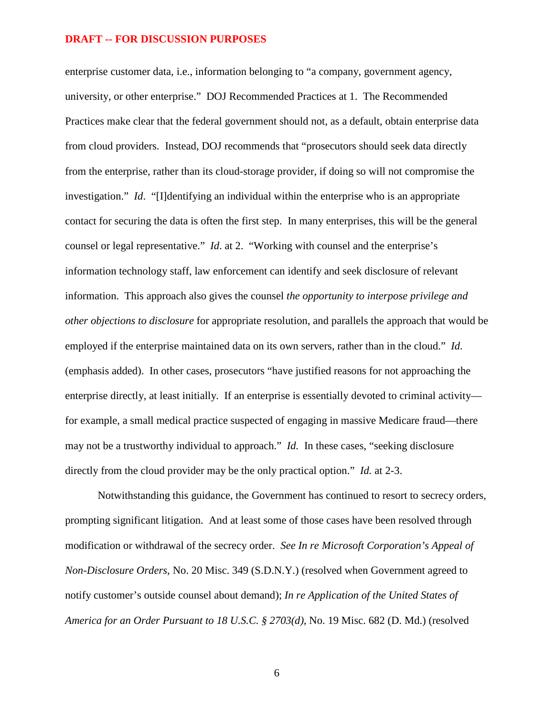enterprise customer data, i.e., information belonging to "a company, government agency, university, or other enterprise." DOJ Recommended Practices at 1. The Recommended Practices make clear that the federal government should not, as a default, obtain enterprise data from cloud providers. Instead, DOJ recommends that "prosecutors should seek data directly from the enterprise, rather than its cloud-storage provider, if doing so will not compromise the investigation." *Id*. "[I]dentifying an individual within the enterprise who is an appropriate contact for securing the data is often the first step. In many enterprises, this will be the general counsel or legal representative." *Id*. at 2. "Working with counsel and the enterprise's information technology staff, law enforcement can identify and seek disclosure of relevant information. This approach also gives the counsel *the opportunity to interpose privilege and other objections to disclosure* for appropriate resolution, and parallels the approach that would be employed if the enterprise maintained data on its own servers, rather than in the cloud." *Id*. (emphasis added). In other cases, prosecutors "have justified reasons for not approaching the enterprise directly, at least initially. If an enterprise is essentially devoted to criminal activity for example, a small medical practice suspected of engaging in massive Medicare fraud—there may not be a trustworthy individual to approach." *Id.* In these cases, "seeking disclosure directly from the cloud provider may be the only practical option." *Id.* at 2-3.

Notwithstanding this guidance, the Government has continued to resort to secrecy orders, prompting significant litigation. And at least some of those cases have been resolved through modification or withdrawal of the secrecy order. *See In re Microsoft Corporation's Appeal of Non-Disclosure Orders*, No. 20 Misc. 349 (S.D.N.Y.) (resolved when Government agreed to notify customer's outside counsel about demand); *In re Application of the United States of America for an Order Pursuant to 18 U.S.C. § 2703(d)*, No. 19 Misc. 682 (D. Md.) (resolved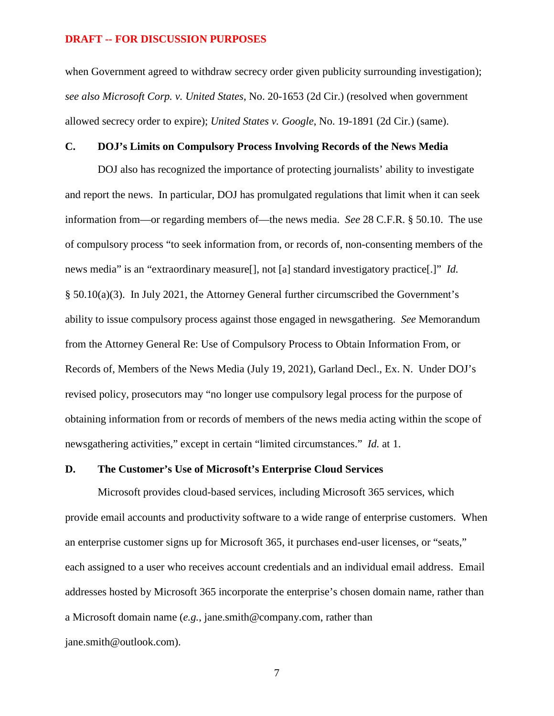when Government agreed to withdraw secrecy order given publicity surrounding investigation); *see also Microsoft Corp. v. United States*, No. 20-1653 (2d Cir.) (resolved when government allowed secrecy order to expire); *United States v. Google*, No. 19-1891 (2d Cir.) (same).

### **C. DOJ's Limits on Compulsory Process Involving Records of the News Media**

DOJ also has recognized the importance of protecting journalists' ability to investigate and report the news. In particular, DOJ has promulgated regulations that limit when it can seek information from—or regarding members of—the news media. *See* 28 C.F.R. § 50.10. The use of compulsory process "to seek information from, or records of, non-consenting members of the news media" is an "extraordinary measure[], not [a] standard investigatory practice[.]" *Id.*  § 50.10(a)(3). In July 2021, the Attorney General further circumscribed the Government's ability to issue compulsory process against those engaged in newsgathering. *See* Memorandum from the Attorney General Re: Use of Compulsory Process to Obtain Information From, or Records of, Members of the News Media (July 19, 2021), Garland Decl., Ex. N. Under DOJ's revised policy, prosecutors may "no longer use compulsory legal process for the purpose of obtaining information from or records of members of the news media acting within the scope of newsgathering activities," except in certain "limited circumstances." *Id.* at 1.

### **D. The Customer's Use of Microsoft's Enterprise Cloud Services**

Microsoft provides cloud-based services, including Microsoft 365 services, which provide email accounts and productivity software to a wide range of enterprise customers. When an enterprise customer signs up for Microsoft 365, it purchases end-user licenses, or "seats," each assigned to a user who receives account credentials and an individual email address. Email addresses hosted by Microsoft 365 incorporate the enterprise's chosen domain name, rather than a Microsoft domain name (*e.g.*, jane.smith@company.com, rather than jane.smith@outlook.com).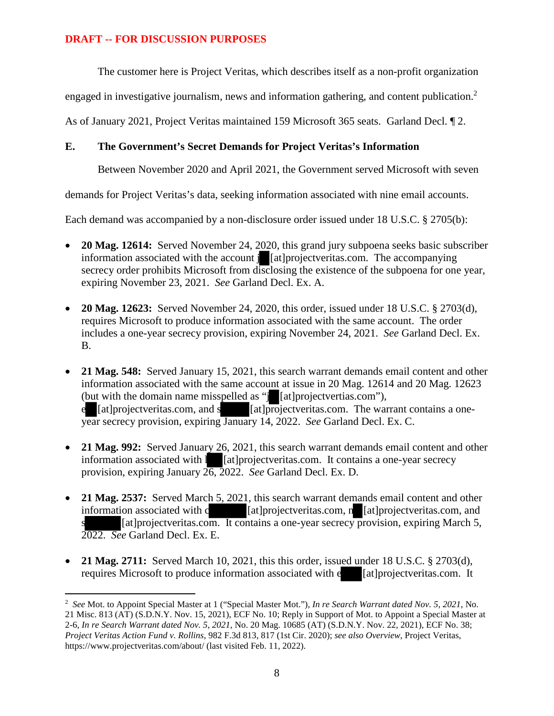The customer here is Project Veritas, which describes itself as a non-profit organization

engaged in investigative journalism, news and information gathering, and content publication.<sup>2</sup>

As of January 2021, Project Veritas maintained 159 Microsoft 365 seats. Garland Decl. ¶ 2.

# **E. The Government's Secret Demands for Project Veritas's Information**

Between November 2020 and April 2021, the Government served Microsoft with seven

demands for Project Veritas's data, seeking information associated with nine email accounts.

Each demand was accompanied by a non-disclosure order issued under 18 U.S.C. § 2705(b):

- **20 Mag. 12614:** Served November 24, 2020, this grand jury subpoena seeks basic subscriber information associated with the account j [at]projectveritas.com. The accompanying secrecy order prohibits Microsoft from disclosing the existence of the subpoena for one year, expiring November 23, 2021. *See* Garland Decl. Ex. A.
- **20 Mag. 12623:** Served November 24, 2020, this order, issued under 18 U.S.C. § 2703(d), requires Microsoft to produce information associated with the same account. The order includes a one-year secrecy provision, expiring November 24, 2021. *See* Garland Decl. Ex. B.
- **21 Mag. 548:** Served January 15, 2021, this search warrant demands email content and other information associated with the same account at issue in 20 Mag. 12614 and 20 Mag. 12623 (but with the domain name misspelled as "j [at]projectvertias.com"),  $e$  [at]projectveritas.com, and s [at]projectveritas.com. The warrant contains a oneyear secrecy provision, expiring January 14, 2022. *See* Garland Decl. Ex. C.
- **21 Mag. 992:** Served January 26, 2021, this search warrant demands email content and other information associated with **i** [at]projectveritas.com. It contains a one-year secrecy provision, expiring January 26, 2022. *See* Garland Decl. Ex. D.
- 21 Mag. 2537: Served March 5, 2021, this search warrant demands email content and other information associated with c<br>[at]projectveritas.com, n [at]projectveritas.com, and [at]projectveritas.com,  $n$  [at]projectveritas.com, and  $\lceil$ at]projectveritas.com. It contains a one-year secrecy provision, expiring March 5, 2022. *See* Garland Decl. Ex. E.
- **21 Mag. 2711:** Served March 10, 2021, this this order, issued under 18 U.S.C. § 2703(d), requires Microsoft to produce information associated with e [at]projectveritas.com. It

<sup>2</sup> *See* Mot. to Appoint Special Master at 1 ("Special Master Mot."), *In re Search Warrant dated Nov. 5, 2021*, No. 21 Misc. 813 (AT) (S.D.N.Y. Nov. 15, 2021), ECF No. 10; Reply in Support of Mot. to Appoint a Special Master at 2-6, *In re Search Warrant dated Nov. 5, 2021*, No. 20 Mag. 10685 (AT) (S.D.N.Y. Nov. 22, 2021), ECF No. 38; *Project Veritas Action Fund v. Rollins*, 982 F.3d 813, 817 (1st Cir. 2020); *see also Overview*, Project Veritas, https://www.projectveritas.com/about/ (last visited Feb. 11, 2022).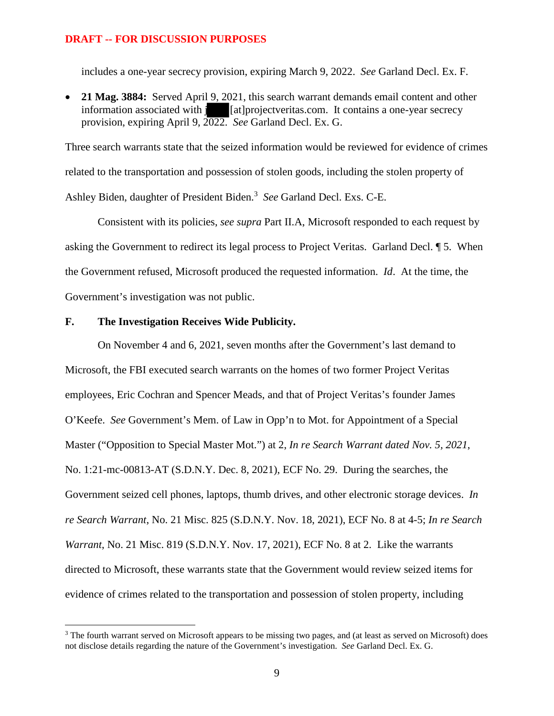includes a one-year secrecy provision, expiring March 9, 2022. *See* Garland Decl. Ex. F.

 **21 Mag. 3884:** Served April 9, 2021, this search warrant demands email content and other information associated with **i** [at]projectveritas.com. It contains a one-year secrecy provision, expiring April 9, 2022. *See* Garland Decl. Ex. G.

Three search warrants state that the seized information would be reviewed for evidence of crimes related to the transportation and possession of stolen goods, including the stolen property of Ashley Biden, daughter of President Biden.<sup>3</sup> See Garland Decl. Exs. C-E.

Consistent with its policies, *see supra* Part II.A, Microsoft responded to each request by asking the Government to redirect its legal process to Project Veritas. Garland Decl. ¶ 5. When the Government refused, Microsoft produced the requested information. *Id*. At the time, the Government's investigation was not public.

### **F. The Investigation Receives Wide Publicity.**

On November 4 and 6, 2021, seven months after the Government's last demand to Microsoft, the FBI executed search warrants on the homes of two former Project Veritas employees, Eric Cochran and Spencer Meads, and that of Project Veritas's founder James O'Keefe. *See* Government's Mem. of Law in Opp'n to Mot. for Appointment of a Special Master ("Opposition to Special Master Mot.") at 2, *In re Search Warrant dated Nov. 5, 2021*, No. 1:21-mc-00813-AT (S.D.N.Y. Dec. 8, 2021), ECF No. 29. During the searches, the Government seized cell phones, laptops, thumb drives, and other electronic storage devices. *In re Search Warrant*, No. 21 Misc. 825 (S.D.N.Y. Nov. 18, 2021), ECF No. 8 at 4-5; *In re Search Warrant*, No. 21 Misc. 819 (S.D.N.Y. Nov. 17, 2021), ECF No. 8 at 2. Like the warrants directed to Microsoft, these warrants state that the Government would review seized items for evidence of crimes related to the transportation and possession of stolen property, including

<sup>&</sup>lt;sup>3</sup> The fourth warrant served on Microsoft appears to be missing two pages, and (at least as served on Microsoft) does not disclose details regarding the nature of the Government's investigation. *See* Garland Decl. Ex. G.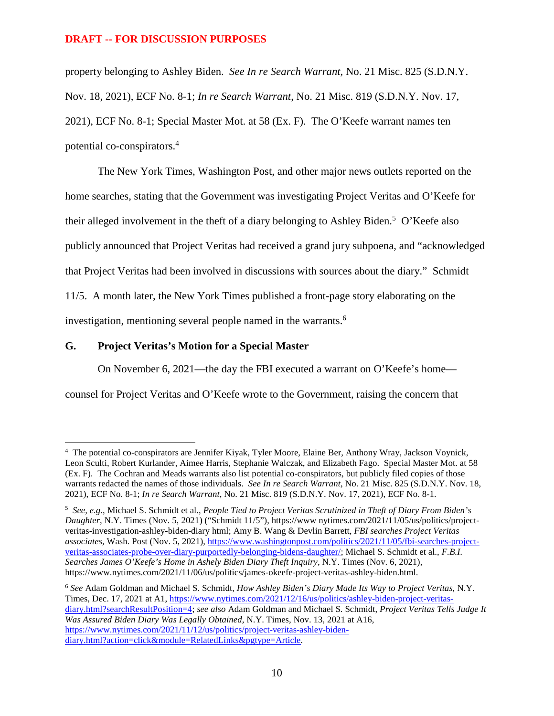property belonging to Ashley Biden. *See In re Search Warrant*, No. 21 Misc. 825 (S.D.N.Y. Nov. 18, 2021), ECF No. 8-1; *In re Search Warrant*, No. 21 Misc. 819 (S.D.N.Y. Nov. 17, 2021), ECF No. 8-1; Special Master Mot. at 58 (Ex. F). The O'Keefe warrant names ten potential co-conspirators.<sup>4</sup>

The New York Times, Washington Post, and other major news outlets reported on the home searches, stating that the Government was investigating Project Veritas and O'Keefe for their alleged involvement in the theft of a diary belonging to Ashley Biden.<sup>5</sup> O'Keefe also publicly announced that Project Veritas had received a grand jury subpoena, and "acknowledged that Project Veritas had been involved in discussions with sources about the diary." Schmidt 11/5. A month later, the New York Times published a front-page story elaborating on the investigation, mentioning several people named in the warrants.<sup>6</sup>

## **G. Project Veritas's Motion for a Special Master**

On November 6, 2021—the day the FBI executed a warrant on O'Keefe's home—

counsel for Project Veritas and O'Keefe wrote to the Government, raising the concern that

<sup>6</sup> *See* Adam Goldman and Michael S. Schmidt, *How Ashley Biden's Diary Made Its Way to Project Veritas*, N.Y. Times, Dec. 17, 2021 at A1, https://www.nytimes.com/2021/12/16/us/politics/ashley-biden-project-veritasdiary.html?searchResultPosition=4; *see also* Adam Goldman and Michael S. Schmidt, *Project Veritas Tells Judge It Was Assured Biden Diary Was Legally Obtained*, N.Y. Times, Nov. 13, 2021 at A16, https://www.nytimes.com/2021/11/12/us/politics/project-veritas-ashley-bidendiary.html?action=click&module=RelatedLinks&pgtype=Article.

<sup>4</sup> The potential co-conspirators are Jennifer Kiyak, Tyler Moore, Elaine Ber, Anthony Wray, Jackson Voynick, Leon Sculti, Robert Kurlander, Aimee Harris, Stephanie Walczak, and Elizabeth Fago. Special Master Mot. at 58 (Ex. F). The Cochran and Meads warrants also list potential co-conspirators, but publicly filed copies of those warrants redacted the names of those individuals. *See In re Search Warrant*, No. 21 Misc. 825 (S.D.N.Y. Nov. 18, 2021), ECF No. 8-1; *In re Search Warrant*, No. 21 Misc. 819 (S.D.N.Y. Nov. 17, 2021), ECF No. 8-1.

<sup>5</sup> *See, e.g.*, Michael S. Schmidt et al., *People Tied to Project Veritas Scrutinized in Theft of Diary From Biden's Daughter*, N.Y. Times (Nov. 5, 2021) ("Schmidt 11/5"), https://www nytimes.com/2021/11/05/us/politics/projectveritas-investigation-ashley-biden-diary html; Amy B. Wang & Devlin Barrett, *FBI searches Project Veritas associates*, Wash. Post (Nov. 5, 2021), https://www.washingtonpost.com/politics/2021/11/05/fbi-searches-projectveritas-associates-probe-over-diary-purportedly-belonging-bidens-daughter/; Michael S. Schmidt et al., *F.B.I. Searches James O'Keefe's Home in Ashely Biden Diary Theft Inquiry*, N.Y. Times (Nov. 6, 2021), https://www.nytimes.com/2021/11/06/us/politics/james-okeefe-project-veritas-ashley-biden.html.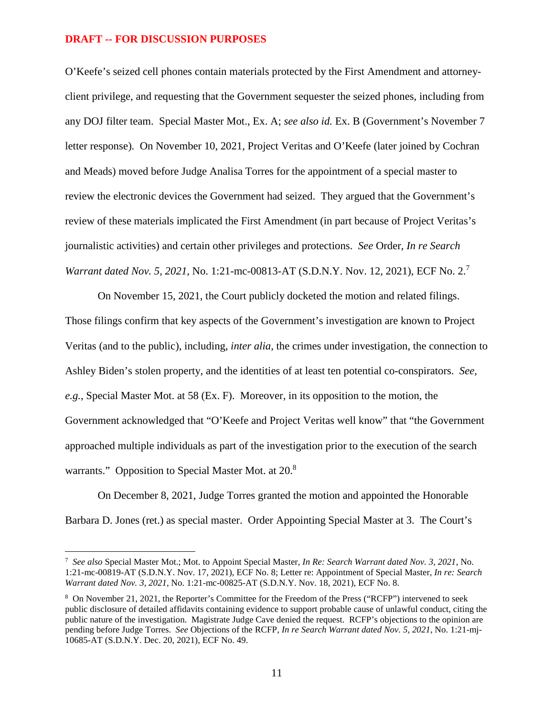O'Keefe's seized cell phones contain materials protected by the First Amendment and attorneyclient privilege, and requesting that the Government sequester the seized phones, including from any DOJ filter team. Special Master Mot., Ex. A; *see also id.* Ex. B (Government's November 7 letter response). On November 10, 2021, Project Veritas and O'Keefe (later joined by Cochran and Meads) moved before Judge Analisa Torres for the appointment of a special master to review the electronic devices the Government had seized. They argued that the Government's review of these materials implicated the First Amendment (in part because of Project Veritas's journalistic activities) and certain other privileges and protections. *See* Order, *In re Search Warrant dated Nov. 5, 2021, No.* 1:21-mc-00813-AT (S.D.N.Y. Nov. 12, 2021), ECF No. 2.<sup>7</sup>

On November 15, 2021, the Court publicly docketed the motion and related filings. Those filings confirm that key aspects of the Government's investigation are known to Project Veritas (and to the public), including, *inter alia*, the crimes under investigation, the connection to Ashley Biden's stolen property, and the identities of at least ten potential co-conspirators. *See, e.g.*, Special Master Mot. at 58 (Ex. F). Moreover, in its opposition to the motion, the Government acknowledged that "O'Keefe and Project Veritas well know" that "the Government approached multiple individuals as part of the investigation prior to the execution of the search warrants." Opposition to Special Master Mot. at 20.<sup>8</sup>

On December 8, 2021, Judge Torres granted the motion and appointed the Honorable Barbara D. Jones (ret.) as special master. Order Appointing Special Master at 3. The Court's

<sup>7</sup>  *See also* Special Master Mot.; Mot. to Appoint Special Master, *In Re: Search Warrant dated Nov. 3, 2021*, No. 1:21-mc-00819-AT (S.D.N.Y. Nov. 17, 2021), ECF No. 8; Letter re: Appointment of Special Master, *In re: Search Warrant dated Nov. 3, 2021*, No. 1:21-mc-00825-AT (S.D.N.Y. Nov. 18, 2021), ECF No. 8.

<sup>&</sup>lt;sup>8</sup> On November 21, 2021, the Reporter's Committee for the Freedom of the Press ("RCFP") intervened to seek public disclosure of detailed affidavits containing evidence to support probable cause of unlawful conduct, citing the public nature of the investigation. Magistrate Judge Cave denied the request. RCFP's objections to the opinion are pending before Judge Torres. *See* Objections of the RCFP, *In re Search Warrant dated Nov. 5, 2021*, No. 1:21-mj-10685-AT (S.D.N.Y. Dec. 20, 2021), ECF No. 49.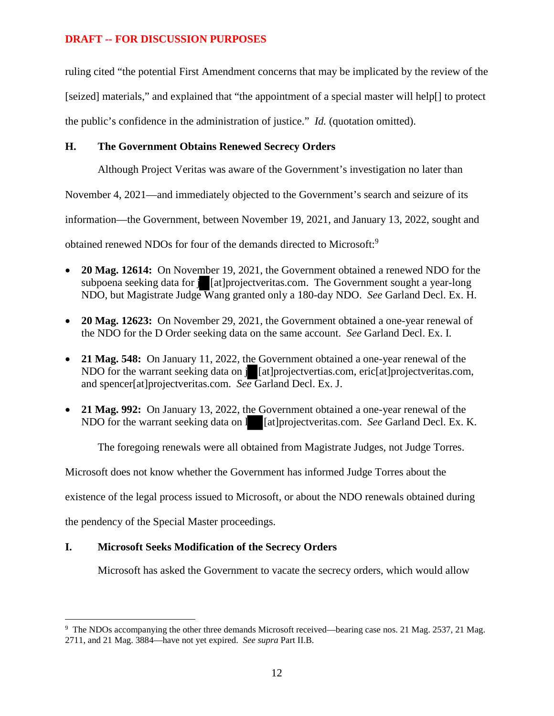ruling cited "the potential First Amendment concerns that may be implicated by the review of the [seized] materials," and explained that "the appointment of a special master will help[] to protect the public's confidence in the administration of justice." *Id.* (quotation omitted).

# **H. The Government Obtains Renewed Secrecy Orders**

Although Project Veritas was aware of the Government's investigation no later than

November 4, 2021—and immediately objected to the Government's search and seizure of its

information—the Government, between November 19, 2021, and January 13, 2022, sought and

obtained renewed NDOs for four of the demands directed to Microsoft:<sup>9</sup>

- **20 Mag. 12614:** On November 19, 2021, the Government obtained a renewed NDO for the subpoena seeking data for *i* [at]projectveritas.com. The Government sought a year-long NDO, but Magistrate Judge Wang granted only a 180-day NDO. *See* Garland Decl. Ex. H.
- **20 Mag. 12623:** On November 29, 2021, the Government obtained a one-year renewal of the NDO for the D Order seeking data on the same account. *See* Garland Decl. Ex. I.
- **21 Mag. 548:** On January 11, 2022, the Government obtained a one-year renewal of the NDO for the warrant seeking data on **j** [at]projectvertias.com, eric[at]projectveritas.com, and spencer[at]projectveritas.com. *See* Garland Decl. Ex. J.
- **21 Mag. 992:** On January 13, 2022, the Government obtained a one-year renewal of the NDO for the warrant seeking data on l [at]projectveritas.com. *See* Garland Decl. Ex. K.

The foregoing renewals were all obtained from Magistrate Judges, not Judge Torres.

Microsoft does not know whether the Government has informed Judge Torres about the

existence of the legal process issued to Microsoft, or about the NDO renewals obtained during

the pendency of the Special Master proceedings.

# **I. Microsoft Seeks Modification of the Secrecy Orders**

Microsoft has asked the Government to vacate the secrecy orders, which would allow

<sup>&</sup>lt;sup>9</sup> The NDOs accompanying the other three demands Microsoft received—bearing case nos. 21 Mag. 2537, 21 Mag. 2711, and 21 Mag. 3884—have not yet expired. *See supra* Part II.B.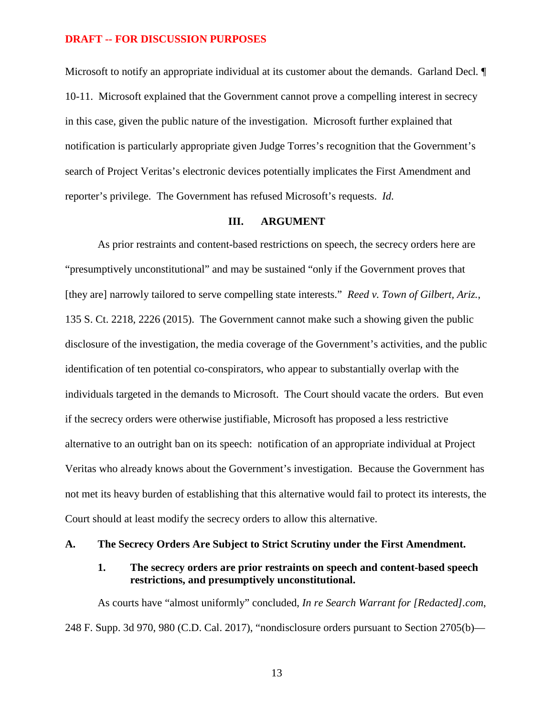Microsoft to notify an appropriate individual at its customer about the demands. Garland Decl*.* ¶ 10-11. Microsoft explained that the Government cannot prove a compelling interest in secrecy in this case, given the public nature of the investigation. Microsoft further explained that notification is particularly appropriate given Judge Torres's recognition that the Government's search of Project Veritas's electronic devices potentially implicates the First Amendment and reporter's privilege. The Government has refused Microsoft's requests. *Id.* 

### **III. ARGUMENT**

As prior restraints and content-based restrictions on speech, the secrecy orders here are "presumptively unconstitutional" and may be sustained "only if the Government proves that [they are] narrowly tailored to serve compelling state interests." *Reed v. Town of Gilbert, Ariz.*, 135 S. Ct. 2218, 2226 (2015). The Government cannot make such a showing given the public disclosure of the investigation, the media coverage of the Government's activities, and the public identification of ten potential co-conspirators, who appear to substantially overlap with the individuals targeted in the demands to Microsoft. The Court should vacate the orders. But even if the secrecy orders were otherwise justifiable, Microsoft has proposed a less restrictive alternative to an outright ban on its speech: notification of an appropriate individual at Project Veritas who already knows about the Government's investigation. Because the Government has not met its heavy burden of establishing that this alternative would fail to protect its interests, the Court should at least modify the secrecy orders to allow this alternative.

#### **A. The Secrecy Orders Are Subject to Strict Scrutiny under the First Amendment.**

### **1. The secrecy orders are prior restraints on speech and content-based speech restrictions, and presumptively unconstitutional.**

As courts have "almost uniformly" concluded, *In re Search Warrant for [Redacted].com*, 248 F. Supp. 3d 970, 980 (C.D. Cal. 2017), "nondisclosure orders pursuant to Section 2705(b)—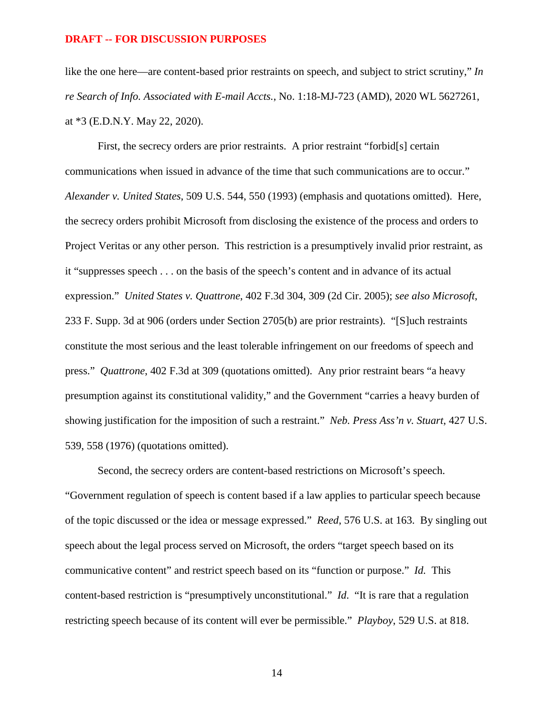like the one here—are content-based prior restraints on speech, and subject to strict scrutiny," *In re Search of Info. Associated with E-mail Accts.*, No. 1:18-MJ-723 (AMD), 2020 WL 5627261, at \*3 (E.D.N.Y. May 22, 2020).

First, the secrecy orders are prior restraints. A prior restraint "forbid[s] certain communications when issued in advance of the time that such communications are to occur." *Alexander v. United States*, 509 U.S. 544, 550 (1993) (emphasis and quotations omitted). Here, the secrecy orders prohibit Microsoft from disclosing the existence of the process and orders to Project Veritas or any other person. This restriction is a presumptively invalid prior restraint, as it "suppresses speech . . . on the basis of the speech's content and in advance of its actual expression." *United States v. Quattrone*, 402 F.3d 304, 309 (2d Cir. 2005); *see also Microsoft*, 233 F. Supp. 3d at 906 (orders under Section 2705(b) are prior restraints). "[S]uch restraints constitute the most serious and the least tolerable infringement on our freedoms of speech and press." *Quattrone*, 402 F.3d at 309 (quotations omitted). Any prior restraint bears "a heavy presumption against its constitutional validity," and the Government "carries a heavy burden of showing justification for the imposition of such a restraint." *Neb. Press Ass'n v. Stuart*, 427 U.S. 539, 558 (1976) (quotations omitted).

Second, the secrecy orders are content-based restrictions on Microsoft's speech. "Government regulation of speech is content based if a law applies to particular speech because of the topic discussed or the idea or message expressed." *Reed*, 576 U.S. at 163. By singling out speech about the legal process served on Microsoft, the orders "target speech based on its communicative content" and restrict speech based on its "function or purpose." *Id.* This content-based restriction is "presumptively unconstitutional." *Id*. "It is rare that a regulation restricting speech because of its content will ever be permissible." *Playboy*, 529 U.S. at 818.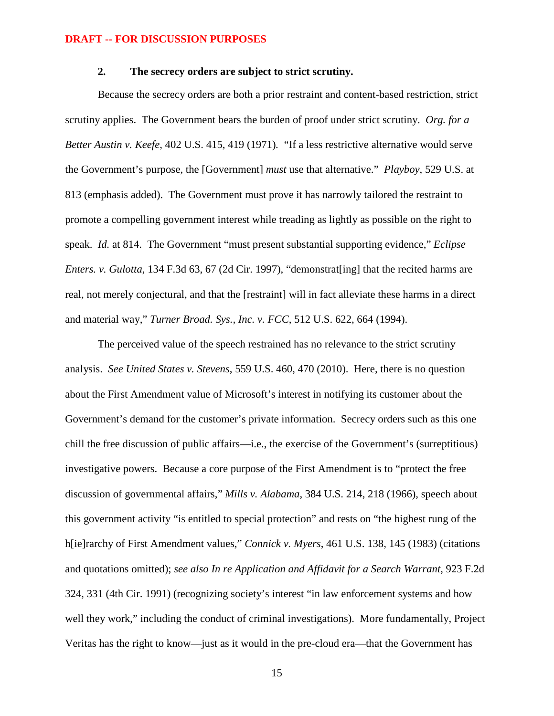# **2. The secrecy orders are subject to strict scrutiny.**

Because the secrecy orders are both a prior restraint and content-based restriction, strict scrutiny applies. The Government bears the burden of proof under strict scrutiny. *Org. for a Better Austin v. Keefe*, 402 U.S. 415, 419 (1971)*.* "If a less restrictive alternative would serve the Government's purpose, the [Government] *must* use that alternative." *Playboy*, 529 U.S. at 813 (emphasis added). The Government must prove it has narrowly tailored the restraint to promote a compelling government interest while treading as lightly as possible on the right to speak. *Id.* at 814. The Government "must present substantial supporting evidence," *Eclipse Enters. v. Gulotta*, 134 F.3d 63, 67 (2d Cir. 1997), "demonstrat [ing] that the recited harms are real, not merely conjectural, and that the [restraint] will in fact alleviate these harms in a direct and material way," *Turner Broad. Sys., Inc. v. FCC*, 512 U.S. 622, 664 (1994).

The perceived value of the speech restrained has no relevance to the strict scrutiny analysis. *See United States v. Stevens*, 559 U.S. 460, 470 (2010). Here, there is no question about the First Amendment value of Microsoft's interest in notifying its customer about the Government's demand for the customer's private information. Secrecy orders such as this one chill the free discussion of public affairs—i.e., the exercise of the Government's (surreptitious) investigative powers. Because a core purpose of the First Amendment is to "protect the free discussion of governmental affairs," *Mills v. Alabama*, 384 U.S. 214, 218 (1966), speech about this government activity "is entitled to special protection" and rests on "the highest rung of the h[ie]rarchy of First Amendment values," *Connick v. Myers*, 461 U.S. 138, 145 (1983) (citations and quotations omitted); *see also In re Application and Affidavit for a Search Warrant*, 923 F.2d 324, 331 (4th Cir. 1991) (recognizing society's interest "in law enforcement systems and how well they work," including the conduct of criminal investigations). More fundamentally, Project Veritas has the right to know—just as it would in the pre-cloud era—that the Government has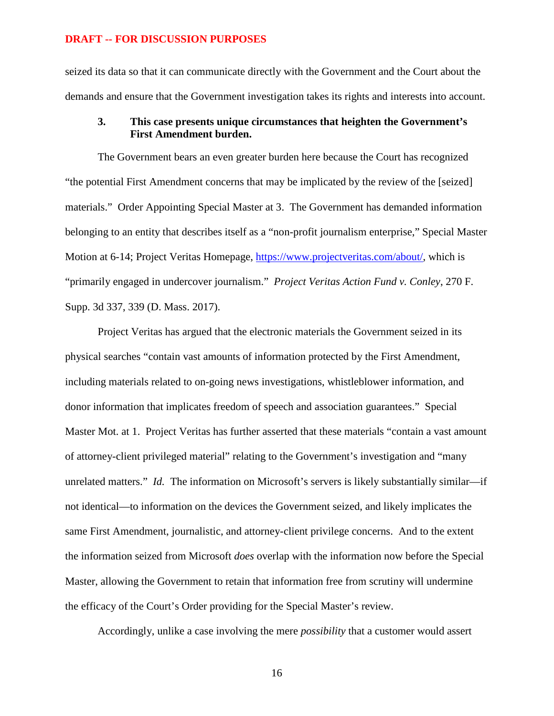seized its data so that it can communicate directly with the Government and the Court about the demands and ensure that the Government investigation takes its rights and interests into account.

# **3. This case presents unique circumstances that heighten the Government's First Amendment burden.**

The Government bears an even greater burden here because the Court has recognized "the potential First Amendment concerns that may be implicated by the review of the [seized] materials." Order Appointing Special Master at 3. The Government has demanded information belonging to an entity that describes itself as a "non-profit journalism enterprise," Special Master Motion at 6-14; Project Veritas Homepage, https://www.projectveritas.com/about/, which is "primarily engaged in undercover journalism." *Project Veritas Action Fund v. Conley*, 270 F. Supp. 3d 337, 339 (D. Mass. 2017).

Project Veritas has argued that the electronic materials the Government seized in its physical searches "contain vast amounts of information protected by the First Amendment, including materials related to on-going news investigations, whistleblower information, and donor information that implicates freedom of speech and association guarantees." Special Master Mot. at 1. Project Veritas has further asserted that these materials "contain a vast amount of attorney-client privileged material" relating to the Government's investigation and "many unrelated matters." *Id.* The information on Microsoft's servers is likely substantially similar—if not identical—to information on the devices the Government seized, and likely implicates the same First Amendment, journalistic, and attorney-client privilege concerns. And to the extent the information seized from Microsoft *does* overlap with the information now before the Special Master, allowing the Government to retain that information free from scrutiny will undermine the efficacy of the Court's Order providing for the Special Master's review.

Accordingly, unlike a case involving the mere *possibility* that a customer would assert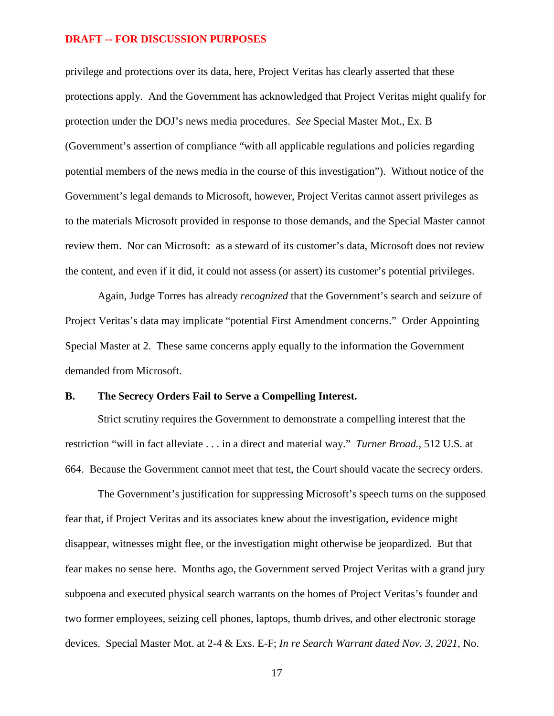privilege and protections over its data, here, Project Veritas has clearly asserted that these protections apply. And the Government has acknowledged that Project Veritas might qualify for protection under the DOJ's news media procedures. *See* Special Master Mot., Ex. B (Government's assertion of compliance "with all applicable regulations and policies regarding potential members of the news media in the course of this investigation"). Without notice of the Government's legal demands to Microsoft, however, Project Veritas cannot assert privileges as to the materials Microsoft provided in response to those demands, and the Special Master cannot review them. Nor can Microsoft: as a steward of its customer's data, Microsoft does not review the content, and even if it did, it could not assess (or assert) its customer's potential privileges.

Again, Judge Torres has already *recognized* that the Government's search and seizure of Project Veritas's data may implicate "potential First Amendment concerns." Order Appointing Special Master at 2. These same concerns apply equally to the information the Government demanded from Microsoft.

### **B. The Secrecy Orders Fail to Serve a Compelling Interest.**

Strict scrutiny requires the Government to demonstrate a compelling interest that the restriction "will in fact alleviate . . . in a direct and material way." *Turner Broad.*, 512 U.S. at 664. Because the Government cannot meet that test, the Court should vacate the secrecy orders.

The Government's justification for suppressing Microsoft's speech turns on the supposed fear that, if Project Veritas and its associates knew about the investigation, evidence might disappear, witnesses might flee, or the investigation might otherwise be jeopardized. But that fear makes no sense here. Months ago, the Government served Project Veritas with a grand jury subpoena and executed physical search warrants on the homes of Project Veritas's founder and two former employees, seizing cell phones, laptops, thumb drives, and other electronic storage devices. Special Master Mot. at 2-4 & Exs. E-F; *In re Search Warrant dated Nov. 3, 2021*, No.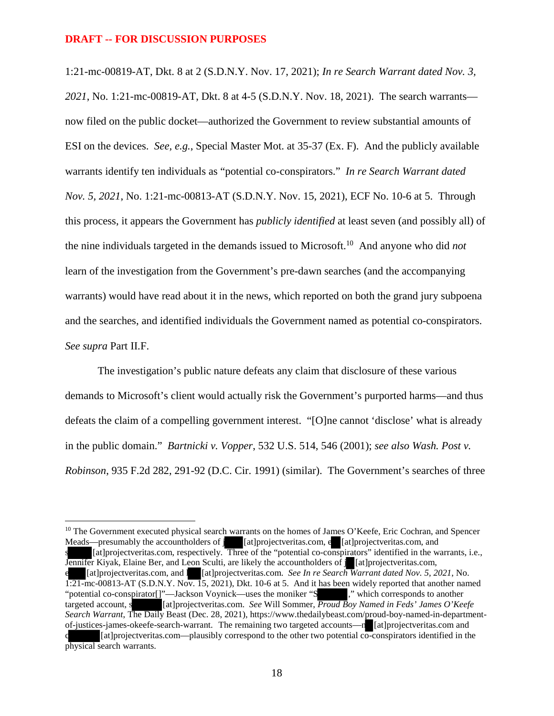1:21-mc-00819-AT, Dkt. 8 at 2 (S.D.N.Y. Nov. 17, 2021); *In re Search Warrant dated Nov. 3, 2021*, No. 1:21-mc-00819-AT, Dkt. 8 at 4-5 (S.D.N.Y. Nov. 18, 2021). The search warrants now filed on the public docket—authorized the Government to review substantial amounts of ESI on the devices. *See, e.g.*, Special Master Mot. at 35-37 (Ex. F). And the publicly available warrants identify ten individuals as "potential co-conspirators." *In re Search Warrant dated Nov. 5, 2021*, No. 1:21-mc-00813-AT (S.D.N.Y. Nov. 15, 2021), ECF No. 10-6 at 5. Through this process, it appears the Government has *publicly identified* at least seven (and possibly all) of the nine individuals targeted in the demands issued to Microsoft.<sup>10</sup> And anyone who did *not* learn of the investigation from the Government's pre-dawn searches (and the accompanying warrants) would have read about it in the news, which reported on both the grand jury subpoena and the searches, and identified individuals the Government named as potential co-conspirators. *See supra* Part II.F.

The investigation's public nature defeats any claim that disclosure of these various demands to Microsoft's client would actually risk the Government's purported harms—and thus defeats the claim of a compelling government interest. "[O]ne cannot 'disclose' what is already in the public domain." *Bartnicki v. Vopper*, 532 U.S. 514, 546 (2001); *see also Wash. Post v. Robinson*, 935 F.2d 282, 291-92 (D.C. Cir. 1991) (similar). The Government's searches of three

<sup>&</sup>lt;sup>10</sup> The Government executed physical search warrants on the homes of James O'Keefe, Eric Cochran, and Spencer Meads—presumably the accountholders of j [at]projectveritas.com, e [at]projectveritas.com, and s [at]projectveritas.com, respectively. Three of the "potential co-conspirators" identified in the warrants, i.e., Jennifer Kiyak, Elaine Ber, and Leon Sculti, are likely the accountholders of j [at]projectveritas.com, e [at]projectveritas.com, and l [at]projectveritas.com. *See In re Search Warrant dated Nov. 5, 2021*, No. 1:21-mc-00813-AT (S.D.N.Y. Nov. 15, 2021), Dkt. 10-6 at 5. And it has been widely reported that another named "potential co-conspirator[]"—Jackson Voynick—uses the moniker "S ," which corresponds to another targeted account, s [at]projectveritas.com. *See* Will Sommer, *Proud Boy Named in Feds' James O'Keefe Search Warrant*, The Daily Beast (Dec. 28, 2021), https://www.thedailybeast.com/proud-boy-named-in-departmentof-justices-james-okeefe-search-warrant. The remaining two targeted accounts—n [at]projectveritas.com and [at]projectveritas.com—plausibly correspond to the other two potential co-conspirators identified in the physical search warrants.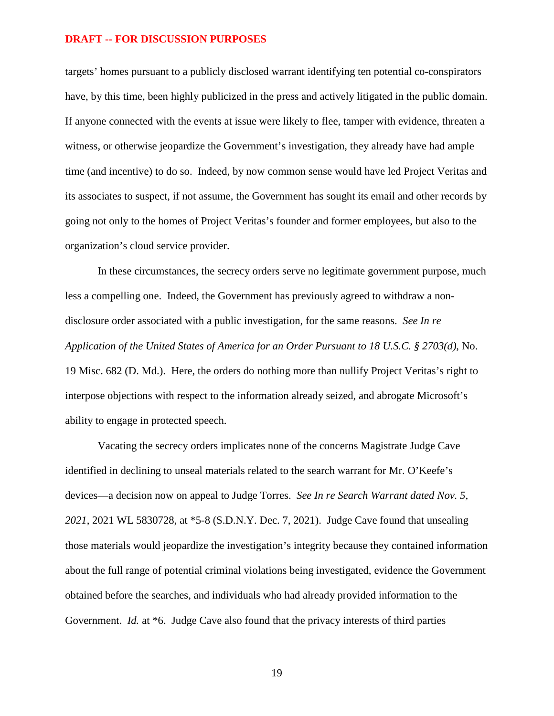targets' homes pursuant to a publicly disclosed warrant identifying ten potential co-conspirators have, by this time, been highly publicized in the press and actively litigated in the public domain. If anyone connected with the events at issue were likely to flee, tamper with evidence, threaten a witness, or otherwise jeopardize the Government's investigation, they already have had ample time (and incentive) to do so. Indeed, by now common sense would have led Project Veritas and its associates to suspect, if not assume, the Government has sought its email and other records by going not only to the homes of Project Veritas's founder and former employees, but also to the organization's cloud service provider.

In these circumstances, the secrecy orders serve no legitimate government purpose, much less a compelling one. Indeed, the Government has previously agreed to withdraw a nondisclosure order associated with a public investigation, for the same reasons. *See In re Application of the United States of America for an Order Pursuant to 18 U.S.C. § 2703(d)*, No. 19 Misc. 682 (D. Md.). Here, the orders do nothing more than nullify Project Veritas's right to interpose objections with respect to the information already seized, and abrogate Microsoft's ability to engage in protected speech.

Vacating the secrecy orders implicates none of the concerns Magistrate Judge Cave identified in declining to unseal materials related to the search warrant for Mr. O'Keefe's devices—a decision now on appeal to Judge Torres. *See In re Search Warrant dated Nov. 5, 2021*, 2021 WL 5830728, at \*5-8 (S.D.N.Y. Dec. 7, 2021). Judge Cave found that unsealing those materials would jeopardize the investigation's integrity because they contained information about the full range of potential criminal violations being investigated, evidence the Government obtained before the searches, and individuals who had already provided information to the Government. *Id.* at \*6. Judge Cave also found that the privacy interests of third parties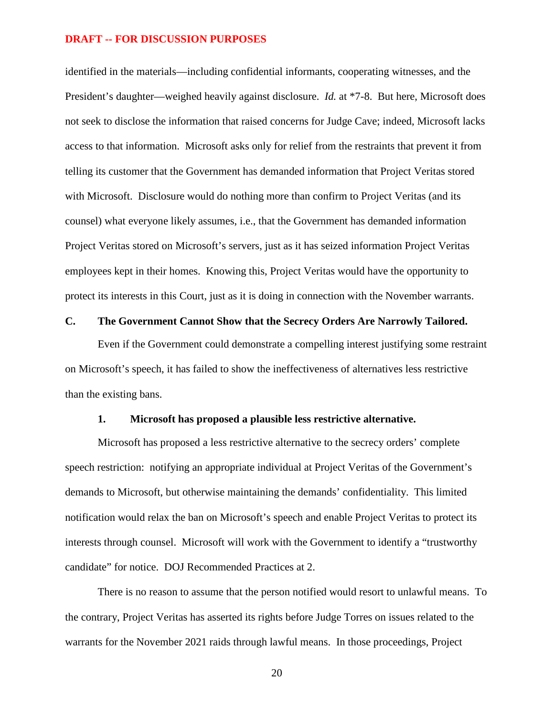identified in the materials—including confidential informants, cooperating witnesses, and the President's daughter—weighed heavily against disclosure. *Id.* at \*7-8. But here, Microsoft does not seek to disclose the information that raised concerns for Judge Cave; indeed, Microsoft lacks access to that information. Microsoft asks only for relief from the restraints that prevent it from telling its customer that the Government has demanded information that Project Veritas stored with Microsoft. Disclosure would do nothing more than confirm to Project Veritas (and its counsel) what everyone likely assumes, i.e., that the Government has demanded information Project Veritas stored on Microsoft's servers, just as it has seized information Project Veritas employees kept in their homes. Knowing this, Project Veritas would have the opportunity to protect its interests in this Court, just as it is doing in connection with the November warrants.

### **C. The Government Cannot Show that the Secrecy Orders Are Narrowly Tailored.**

Even if the Government could demonstrate a compelling interest justifying some restraint on Microsoft's speech, it has failed to show the ineffectiveness of alternatives less restrictive than the existing bans.

### **1. Microsoft has proposed a plausible less restrictive alternative.**

Microsoft has proposed a less restrictive alternative to the secrecy orders' complete speech restriction: notifying an appropriate individual at Project Veritas of the Government's demands to Microsoft, but otherwise maintaining the demands' confidentiality. This limited notification would relax the ban on Microsoft's speech and enable Project Veritas to protect its interests through counsel. Microsoft will work with the Government to identify a "trustworthy candidate" for notice. DOJ Recommended Practices at 2.

There is no reason to assume that the person notified would resort to unlawful means. To the contrary, Project Veritas has asserted its rights before Judge Torres on issues related to the warrants for the November 2021 raids through lawful means. In those proceedings, Project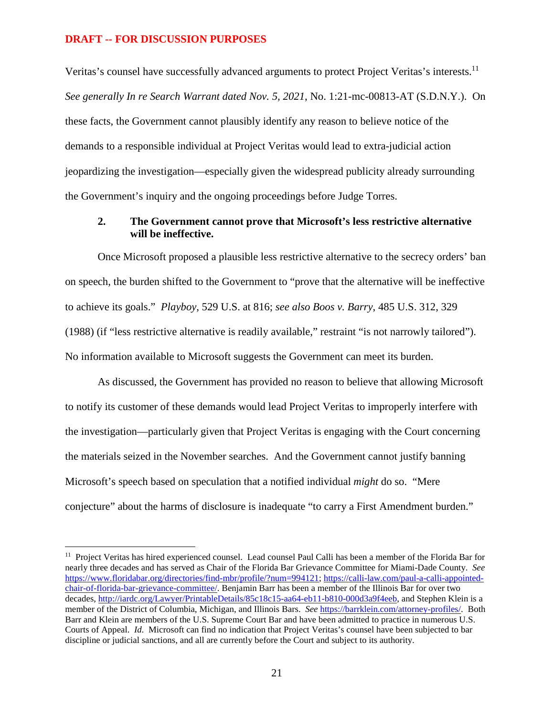Veritas's counsel have successfully advanced arguments to protect Project Veritas's interests.<sup>11</sup> *See generally In re Search Warrant dated Nov. 5, 2021*, No. 1:21-mc-00813-AT (S.D.N.Y.). On these facts, the Government cannot plausibly identify any reason to believe notice of the demands to a responsible individual at Project Veritas would lead to extra-judicial action jeopardizing the investigation—especially given the widespread publicity already surrounding the Government's inquiry and the ongoing proceedings before Judge Torres.

### **2. The Government cannot prove that Microsoft's less restrictive alternative will be ineffective.**

Once Microsoft proposed a plausible less restrictive alternative to the secrecy orders' ban on speech, the burden shifted to the Government to "prove that the alternative will be ineffective to achieve its goals." *Playboy*, 529 U.S. at 816; *see also Boos v. Barry*, 485 U.S. 312, 329 (1988) (if "less restrictive alternative is readily available," restraint "is not narrowly tailored"). No information available to Microsoft suggests the Government can meet its burden.

As discussed, the Government has provided no reason to believe that allowing Microsoft to notify its customer of these demands would lead Project Veritas to improperly interfere with the investigation—particularly given that Project Veritas is engaging with the Court concerning the materials seized in the November searches. And the Government cannot justify banning Microsoft's speech based on speculation that a notified individual *might* do so. "Mere conjecture" about the harms of disclosure is inadequate "to carry a First Amendment burden."

<sup>&</sup>lt;sup>11</sup> Project Veritas has hired experienced counsel. Lead counsel Paul Calli has been a member of the Florida Bar for nearly three decades and has served as Chair of the Florida Bar Grievance Committee for Miami-Dade County. *See*  https://www.floridabar.org/directories/find-mbr/profile/?num=994121; https://calli-law.com/paul-a-calli-appointedchair-of-florida-bar-grievance-committee/. Benjamin Barr has been a member of the Illinois Bar for over two decades, http://iardc.org/Lawyer/PrintableDetails/85c18c15-aa64-eb11-b810-000d3a9f4eeb, and Stephen Klein is a member of the District of Columbia, Michigan, and Illinois Bars. *See* https://barrklein.com/attorney-profiles/. Both Barr and Klein are members of the U.S. Supreme Court Bar and have been admitted to practice in numerous U.S. Courts of Appeal. *Id.* Microsoft can find no indication that Project Veritas's counsel have been subjected to bar discipline or judicial sanctions, and all are currently before the Court and subject to its authority.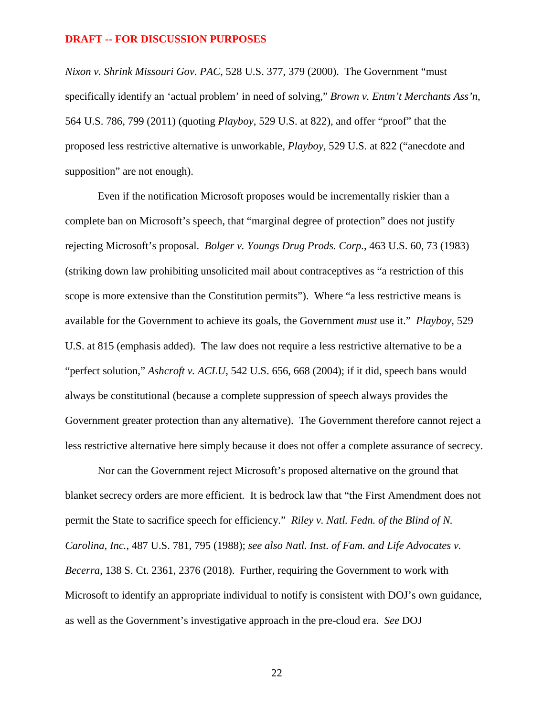*Nixon v. Shrink Missouri Gov. PAC*, 528 U.S. 377, 379 (2000). The Government "must specifically identify an 'actual problem' in need of solving," *Brown v. Entm't Merchants Ass'n*, 564 U.S. 786, 799 (2011) (quoting *Playboy*, 529 U.S. at 822), and offer "proof" that the proposed less restrictive alternative is unworkable, *Playboy*, 529 U.S. at 822 ("anecdote and supposition" are not enough).

Even if the notification Microsoft proposes would be incrementally riskier than a complete ban on Microsoft's speech, that "marginal degree of protection" does not justify rejecting Microsoft's proposal. *Bolger v. Youngs Drug Prods. Corp.*, 463 U.S. 60, 73 (1983) (striking down law prohibiting unsolicited mail about contraceptives as "a restriction of this scope is more extensive than the Constitution permits"). Where "a less restrictive means is available for the Government to achieve its goals, the Government *must* use it." *Playboy*, 529 U.S. at 815 (emphasis added). The law does not require a less restrictive alternative to be a "perfect solution," *Ashcroft v. ACLU*, 542 U.S. 656, 668 (2004); if it did, speech bans would always be constitutional (because a complete suppression of speech always provides the Government greater protection than any alternative). The Government therefore cannot reject a less restrictive alternative here simply because it does not offer a complete assurance of secrecy.

Nor can the Government reject Microsoft's proposed alternative on the ground that blanket secrecy orders are more efficient. It is bedrock law that "the First Amendment does not permit the State to sacrifice speech for efficiency." *Riley v. Natl. Fedn. of the Blind of N. Carolina, Inc.*, 487 U.S. 781, 795 (1988); *see also Natl. Inst. of Fam. and Life Advocates v. Becerra*, 138 S. Ct. 2361, 2376 (2018). Further, requiring the Government to work with Microsoft to identify an appropriate individual to notify is consistent with DOJ's own guidance, as well as the Government's investigative approach in the pre-cloud era. *See* DOJ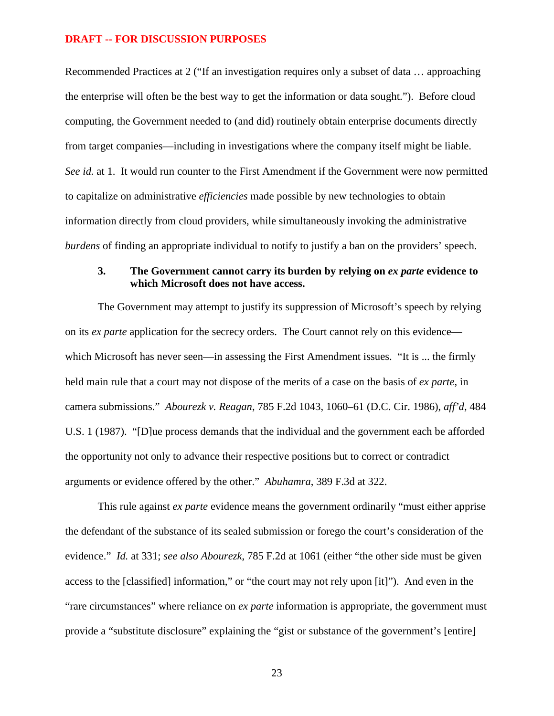Recommended Practices at 2 ("If an investigation requires only a subset of data … approaching the enterprise will often be the best way to get the information or data sought."). Before cloud computing, the Government needed to (and did) routinely obtain enterprise documents directly from target companies—including in investigations where the company itself might be liable. *See id.* at 1. It would run counter to the First Amendment if the Government were now permitted to capitalize on administrative *efficiencies* made possible by new technologies to obtain information directly from cloud providers, while simultaneously invoking the administrative *burdens* of finding an appropriate individual to notify to justify a ban on the providers' speech.

# **3. The Government cannot carry its burden by relying on** *ex parte* **evidence to which Microsoft does not have access.**

The Government may attempt to justify its suppression of Microsoft's speech by relying on its *ex parte* application for the secrecy orders. The Court cannot rely on this evidence which Microsoft has never seen—in assessing the First Amendment issues. "It is ... the firmly held main rule that a court may not dispose of the merits of a case on the basis of *ex parte*, in camera submissions." *Abourezk v. Reagan*, 785 F.2d 1043, 1060–61 (D.C. Cir. 1986), *aff'd*, 484 U.S. 1 (1987). "[D]ue process demands that the individual and the government each be afforded the opportunity not only to advance their respective positions but to correct or contradict arguments or evidence offered by the other." *Abuhamra*, 389 F.3d at 322.

This rule against *ex parte* evidence means the government ordinarily "must either apprise the defendant of the substance of its sealed submission or forego the court's consideration of the evidence." *Id.* at 331; *see also Abourezk*, 785 F.2d at 1061 (either "the other side must be given access to the [classified] information," or "the court may not rely upon [it]"). And even in the "rare circumstances" where reliance on *ex parte* information is appropriate, the government must provide a "substitute disclosure" explaining the "gist or substance of the government's [entire]